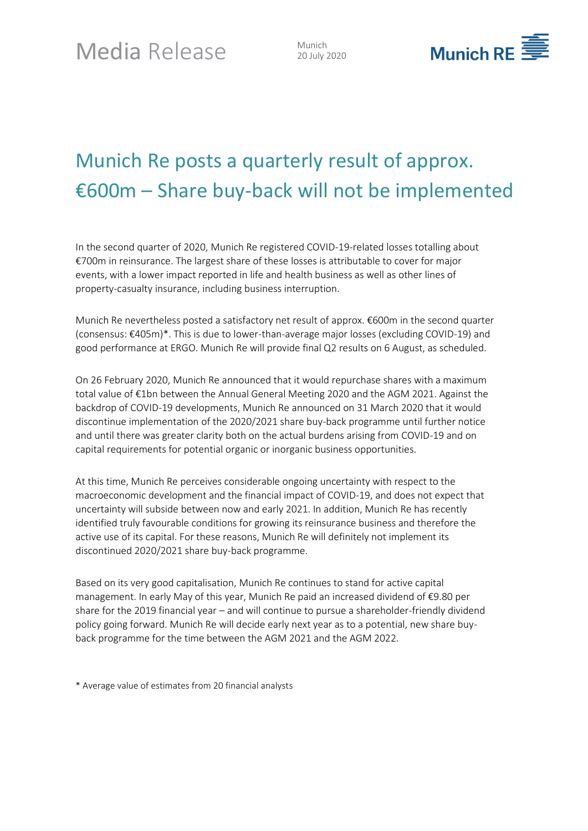20 July 2020



## Munich Re posts a quarterly result of approx. €600m – Share buy-back will not be implemented

In the second quarter of 2020, Munich Re registered COVID-19-related losses totalling about €700m in reinsurance. The largest share of these losses is attributable to cover for major events, with a lower impact reported in life and health business as well as other lines of property-casualty insurance, including business interruption.

Munich Re nevertheless posted a satisfactory net result of approx. €600m in the second quarter (consensus: €405m)\*. This is due to lower-than-average major losses (excluding COVID-19) and good performance at ERGO. Munich Re will provide final Q2 results on 6 August, as scheduled.

On 26 February 2020, Munich Re announced that it would repurchase shares with a maximum total value of €1bn between the Annual General Meeting 2020 and the AGM 2021. Against the backdrop of COVID-19 developments, Munich Re announced on 31 March 2020 that it would discontinue implementation of the 2020/2021 share buy-back programme until further notice and until there was greater clarity both on the actual burdens arising from COVID-19 and on capital requirements for potential organic or inorganic business opportunities.

At this time, Munich Re perceives considerable ongoing uncertainty with respect to the macroeconomic development and the financial impact of COVID-19, and does not expect that uncertainty will subside between now and early 2021. In addition, Munich Re has recently identified truly favourable conditions for growing its reinsurance business and therefore the active use of its capital. For these reasons, Munich Re will definitely not implement its discontinued 2020/2021 share buy-back programme.

Based on its very good capitalisation, Munich Re continues to stand for active capital management. In early May of this year, Munich Re paid an increased dividend of €9.80 per share for the 2019 financial year – and will continue to pursue a shareholder-friendly dividend policy going forward. Munich Re will decide early next year as to a potential, new share buyback programme for the time between the AGM 2021 and the AGM 2022.

\* Average value of estimates from 20 financial analysts